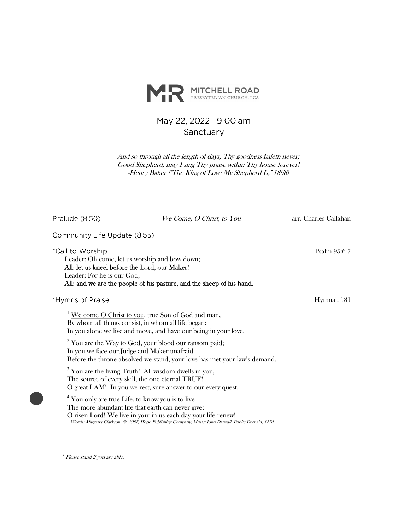

# May 22, 2022-9:00 am Sanctuary

And so through all the length of days, Thy goodness faileth never; Good Shepherd, may I sing Thy praise within Thy house forever! -Henry Baker ("The King of Love My Shepherd Is," 1868)

| Prelude (8:50)                                                                                                                                   | We Come, O Christ, to You                                                                                                                                            | arr. Charles Callahan |
|--------------------------------------------------------------------------------------------------------------------------------------------------|----------------------------------------------------------------------------------------------------------------------------------------------------------------------|-----------------------|
| Community Life Update (8:55)                                                                                                                     |                                                                                                                                                                      |                       |
| *Call to Worship<br>Leader: Oh come, let us worship and bow down;<br>All: let us kneel before the Lord, our Maker!<br>Leader: For he is our God, | All: and we are the people of his pasture, and the sheep of his hand.                                                                                                | Psalm 95:6-7          |
| *Hymns of Praise                                                                                                                                 |                                                                                                                                                                      | Hymnal, 181           |
| By whom all things consist, in whom all life began:                                                                                              | We come O Christ to you, true Son of God and man,<br>In you alone we live and move, and have our being in your love.                                                 |                       |
| In you we face our Judge and Maker unafraid.                                                                                                     | $2$ You are the Way to God, your blood our ransom paid;<br>Before the throne absolved we stand, your love has met your law's demand.                                 |                       |
| The source of every skill, the one eternal TRUE!                                                                                                 | <sup>3</sup> You are the living Truth! All wisdom dwells in you,<br>O great I AM! In you we rest, sure answer to our every quest.                                    |                       |
| <sup>4</sup> You only are true Life, to know you is to live<br>The more abundant life that earth can never give:                                 | O risen Lord! We live in you: in us each day your life renew!<br>Words: Margaret Clarkson, © 1987, Hope Publishing Company; Music: John Darwall, Public Domain, 1770 |                       |

\*Please stand if you are able.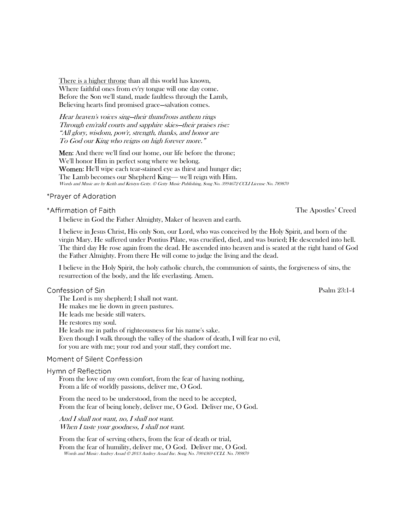There is a higher throne than all this world has known, Where faithful ones from ev'ry tongue will one day come. Before the Son we'll stand, made faultless through the Lamb, Believing hearts find promised grace—salvation comes.

Hear heaven's voices sing—their thund'rous anthem rings Through em'rald courts and sapphire skies—their praises rise: "All glory, wisdom, pow'r, strength, thanks, and honor are To God our King who reigns on high forever more."

Men: And there we'll find our home, our life before the throne; We'll honor Him in perfect song where we belong. Women: He'll wipe each tear-stained eye as thirst and hunger die; The Lamb becomes our Shepherd King— we'll reign with Him. Words and Music are by Keith and Kristyn Getty. © Getty Music Publishing, Song No. 3994672 CCLI License No. 789870

#### \*Prayer of Adoration

\*Affirmation of Faith

I believe in God the Father Almighty, Maker of heaven and earth.

I believe in Jesus Christ, His only Son, our Lord, who was conceived by the Holy Spirit, and born of the virgin Mary. He suffered under Pontius Pilate, was crucified, died, and was buried; He descended into hell. The third day He rose again from the dead. He ascended into heaven and is seated at the right hand of God the Father Almighty. From there He will come to judge the living and the dead.

I believe in the Holy Spirit, the holy catholic church, the communion of saints, the forgiveness of sins, the resurrection of the body, and the life everlasting. Amen.

#### Confession of Sin

The Lord is my shepherd; I shall not want. He makes me lie down in green pastures. He leads me beside still waters. He restores my soul. He leads me in paths of righteousness for his name's sake. Even though I walk through the valley of the shadow of death, I will fear no evil, for you are with me; your rod and your staff, they comfort me.

#### Moment of Silent Confession

#### Hymn of Reflection

From the love of my own comfort, from the fear of having nothing, From a life of worldly passions, deliver me, O God.

From the need to be understood, from the need to be accepted, From the fear of being lonely, deliver me, O God. Deliver me, O God.

And I shall not want, no, I shall not want. When I taste your goodness, I shall not want.

From the fear of serving others, from the fear of death or trial, From the fear of humility, deliver me, O God. Deliver me, O God. Words and Music: Audrey Assad © 2013 Audrey Assad Inc. Song No. 7004369 CCLI. No. 789870 The Apostles' Creed

Psalm 23:1-4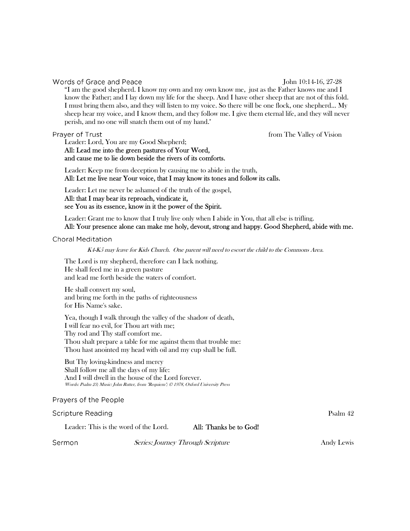### Words of Grace and Peace

#### John 10:14-16, 27-28

"I am the good shepherd. I know my own and my own know me, just as the Father knows me and I know the Father; and I lay down my life for the sheep. And I have other sheep that are not of this fold. I must bring them also, and they will listen to my voice. So there will be one flock, one shepherd... My sheep hear my voice, and I know them, and they follow me. I give them eternal life, and they will never perish, and no one will snatch them out of my hand."

#### Prayer of Trust

from The Valley of Vision

Leader: Lord, You are my Good Shepherd; All: Lead me into the green pastures of Your Word,

and cause me to lie down beside the rivers of its comforts.

Leader: Keep me from deception by causing me to abide in the truth, All: Let me live near Your voice, that I may know its tones and follow its calls.

Leader: Let me never be ashamed of the truth of the gospel,

All: that I may bear its reproach, vindicate it, see You as its essence, know in it the power of the Spirit.

Leader: Grant me to know that I truly live only when I abide in You, that all else is trifling.

All: Your presence alone can make me holy, devout, strong and happy. Good Shepherd, abide with me.

#### **Choral Meditation**

K4-K5 may leave for Kids Church. One parent will need to escort the child to the Commons Area.

The Lord is my shepherd, therefore can I lack nothing. He shall feed me in a green pasture and lead me forth beside the waters of comfort.

He shall convert my soul, and bring me forth in the paths of righteousness for His Name's sake.

Yea, though I walk through the valley of the shadow of death, I will fear no evil, for Thou art with me; Thy rod and Thy staff comfort me. Thou shalt prepare a table for me against them that trouble me: Thou hast anointed my head with oil and my cup shall be full.

But Thy loving-kindness and mercy Shall follow me all the days of my life: And I will dwell in the house of the Lord forever. Words: Psalm 23; Music: John Rutter, from "Requiem"; © 1978, Oxford University Press

#### Prayers of the People

**Scripture Reading** Psalm 42 Leader: This is the word of the Lord. All: Thanks be to God! Sermon Series: Journey Through Scripture Andy Lewis